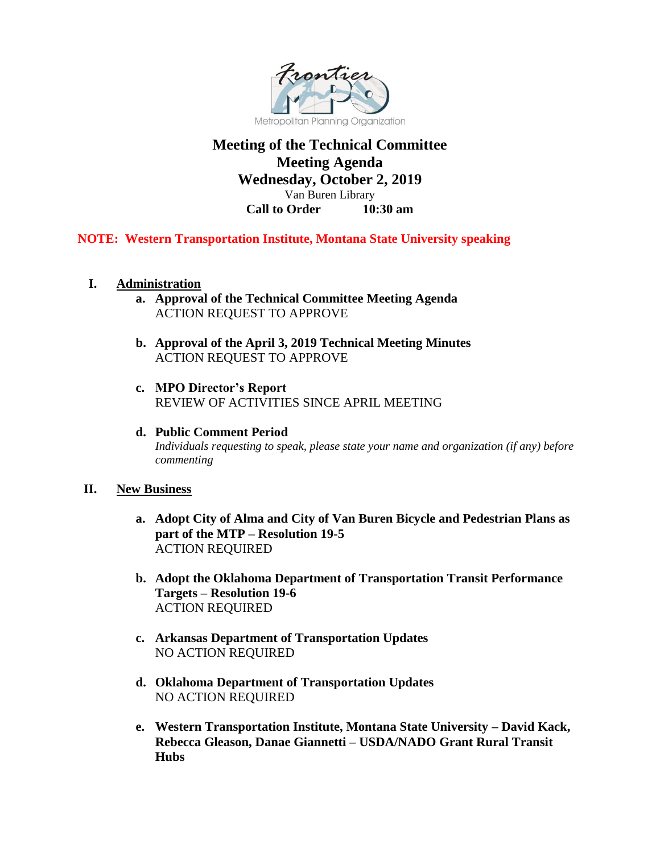

## **Meeting of the Technical Committee Meeting Agenda Wednesday, October 2, 2019** Van Buren Library **Call to Order 10:30 am**

### **NOTE: Western Transportation Institute, Montana State University speaking**

- **I. Administration**
	- **a. Approval of the Technical Committee Meeting Agenda** ACTION REQUEST TO APPROVE
	- **b. Approval of the April 3, 2019 Technical Meeting Minutes**  ACTION REQUEST TO APPROVE
	- **c. MPO Director's Report**  REVIEW OF ACTIVITIES SINCE APRIL MEETING
	- **d. Public Comment Period** *Individuals requesting to speak, please state your name and organization (if any) before commenting*

#### **II. New Business**

- **a. Adopt City of Alma and City of Van Buren Bicycle and Pedestrian Plans as part of the MTP – Resolution 19-5** ACTION REQUIRED
- **b. Adopt the Oklahoma Department of Transportation Transit Performance Targets – Resolution 19-6** ACTION REQUIRED
- **c. Arkansas Department of Transportation Updates** NO ACTION REQUIRED
- **d. Oklahoma Department of Transportation Updates**  NO ACTION REQUIRED
- **e. Western Transportation Institute, Montana State University – David Kack, Rebecca Gleason, Danae Giannetti – USDA/NADO Grant Rural Transit Hubs**